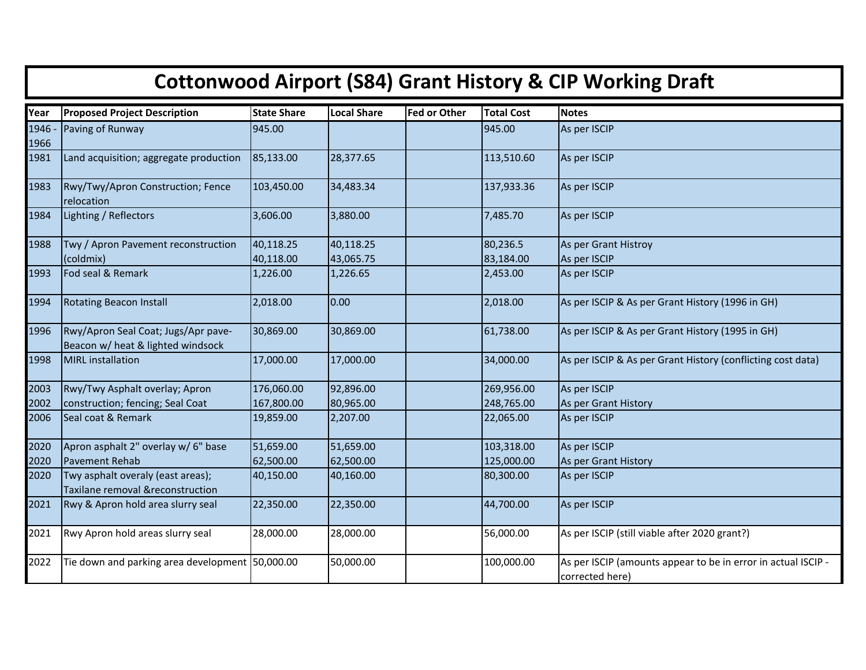| <b>Cottonwood Airport (S84) Grant History &amp; CIP Working Draft</b> |                                                                          |                        |                        |                     |                       |                                                                                  |  |  |  |  |
|-----------------------------------------------------------------------|--------------------------------------------------------------------------|------------------------|------------------------|---------------------|-----------------------|----------------------------------------------------------------------------------|--|--|--|--|
| Year                                                                  | <b>Proposed Project Description</b>                                      | <b>State Share</b>     | <b>Local Share</b>     | <b>Fed or Other</b> | <b>Total Cost</b>     | <b>Notes</b>                                                                     |  |  |  |  |
| 1946 -<br>1966                                                        | Paving of Runway                                                         | 945.00                 |                        |                     | 945.00                | As per ISCIP                                                                     |  |  |  |  |
| 1981                                                                  | Land acquisition; aggregate production                                   | 85,133.00              | 28,377.65              |                     | 113,510.60            | As per ISCIP                                                                     |  |  |  |  |
| 1983                                                                  | Rwy/Twy/Apron Construction; Fence<br>relocation                          | 103,450.00             | 34,483.34              |                     | 137,933.36            | As per ISCIP                                                                     |  |  |  |  |
| 1984                                                                  | Lighting / Reflectors                                                    | 3,606.00               | 3,880.00               |                     | 7,485.70              | As per ISCIP                                                                     |  |  |  |  |
| 1988                                                                  | Twy / Apron Pavement reconstruction<br>(coldmix)                         | 40,118.25<br>40,118.00 | 40,118.25<br>43,065.75 |                     | 80,236.5<br>83,184.00 | As per Grant Histroy<br>As per ISCIP                                             |  |  |  |  |
| 1993                                                                  | Fod seal & Remark                                                        | 1,226.00               | 1,226.65               |                     | 2,453.00              | As per ISCIP                                                                     |  |  |  |  |
| 1994                                                                  | <b>Rotating Beacon Install</b>                                           | 2,018.00               | 0.00                   |                     | 2,018.00              | As per ISCIP & As per Grant History (1996 in GH)                                 |  |  |  |  |
| 1996                                                                  | Rwy/Apron Seal Coat; Jugs/Apr pave-<br>Beacon w/ heat & lighted windsock | 30,869.00              | 30,869.00              |                     | 61,738.00             | As per ISCIP & As per Grant History (1995 in GH)                                 |  |  |  |  |
| 1998                                                                  | <b>MIRL</b> installation                                                 | 17,000.00              | 17,000.00              |                     | 34,000.00             | As per ISCIP & As per Grant History (conflicting cost data)                      |  |  |  |  |
| 2003                                                                  | Rwy/Twy Asphalt overlay; Apron                                           | 176,060.00             | 92,896.00              |                     | 269,956.00            | As per ISCIP                                                                     |  |  |  |  |
| 2002                                                                  | construction; fencing; Seal Coat                                         | 167,800.00             | 80,965.00              |                     | 248,765.00            | As per Grant History                                                             |  |  |  |  |
| 2006                                                                  | Seal coat & Remark                                                       | 19,859.00              | 2,207.00               |                     | 22,065.00             | As per ISCIP                                                                     |  |  |  |  |
| 2020                                                                  | Apron asphalt 2" overlay w/ 6" base                                      | 51,659.00              | 51,659.00              |                     | 103,318.00            | As per ISCIP                                                                     |  |  |  |  |
| 2020                                                                  | Pavement Rehab                                                           | 62,500.00              | 62,500.00              |                     | 125,000.00            | As per Grant History                                                             |  |  |  |  |
| 2020                                                                  | Twy asphalt overaly (east areas);<br>Taxilane removal &reconstruction    | 40,150.00              | 40,160.00              |                     | 80,300.00             | As per ISCIP                                                                     |  |  |  |  |
| 2021                                                                  | Rwy & Apron hold area slurry seal                                        | 22,350.00              | 22,350.00              |                     | 44,700.00             | As per ISCIP                                                                     |  |  |  |  |
| 2021                                                                  | Rwy Apron hold areas slurry seal                                         | 28,000.00              | 28,000.00              |                     | 56,000.00             | As per ISCIP (still viable after 2020 grant?)                                    |  |  |  |  |
| 2022                                                                  | Tie down and parking area development 50,000.00                          |                        | 50,000.00              |                     | 100,000.00            | As per ISCIP (amounts appear to be in error in actual ISCIP -<br>corrected here) |  |  |  |  |